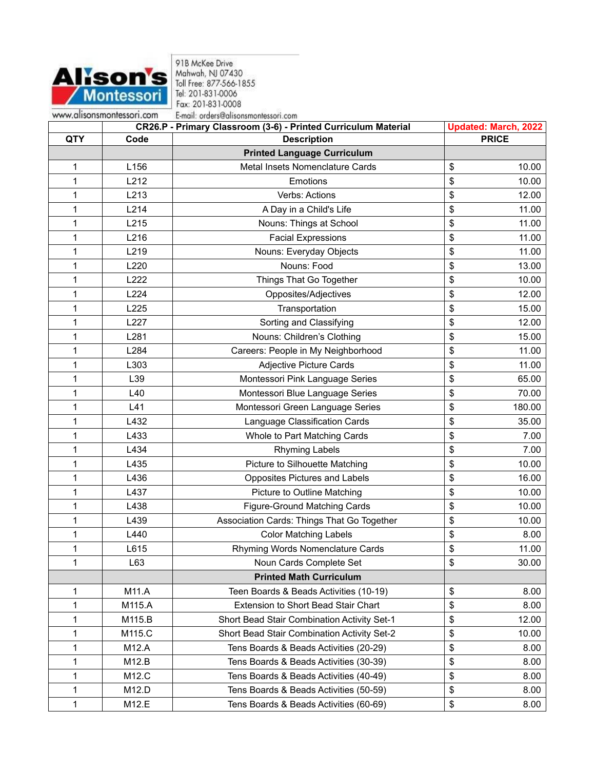

91B McKee Drive<br>Mahwah, NJ 07430<br>Toll Free: 877-566-1855<br>Tel: 201-831-0006 Fax: 201-831-0008 E-mail: orders@alisonsmontessori.com

|            |        | CR26.P - Primary Classroom (3-6) - Printed Curriculum Material | <b>Updated: March, 2022</b> |
|------------|--------|----------------------------------------------------------------|-----------------------------|
| <b>QTY</b> | Code   | <b>Description</b>                                             | <b>PRICE</b>                |
|            |        | <b>Printed Language Curriculum</b>                             |                             |
| 1          | L156   | Metal Insets Nomenclature Cards                                | \$<br>10.00                 |
| 1          | L212   | Emotions                                                       | \$<br>10.00                 |
| 1          | L213   | Verbs: Actions                                                 | \$<br>12.00                 |
| 1          | L214   | A Day in a Child's Life                                        | \$<br>11.00                 |
| 1          | L215   | Nouns: Things at School                                        | 11.00<br>\$                 |
| 1          | L216   | <b>Facial Expressions</b>                                      | \$<br>11.00                 |
| 1          | L219   | Nouns: Everyday Objects                                        | \$<br>11.00                 |
| 1          | L220   | Nouns: Food                                                    | \$<br>13.00                 |
| 1          | L222   | Things That Go Together                                        | \$<br>10.00                 |
| 1          | L224   | Opposites/Adjectives                                           | \$<br>12.00                 |
| 1          | L225   | Transportation                                                 | \$<br>15.00                 |
| 1          | L227   | Sorting and Classifying                                        | \$<br>12.00                 |
| 1          | L281   | Nouns: Children's Clothing                                     | \$<br>15.00                 |
| 1          | L284   | Careers: People in My Neighborhood                             | \$<br>11.00                 |
| 1          | L303   | <b>Adjective Picture Cards</b>                                 | \$<br>11.00                 |
| 1          | L39    | Montessori Pink Language Series                                | \$<br>65.00                 |
| 1          | L40    | Montessori Blue Language Series                                | \$<br>70.00                 |
| 1          | L41    | Montessori Green Language Series                               | \$<br>180.00                |
| 1          | L432   | Language Classification Cards                                  | 35.00<br>\$                 |
| 1          | L433   | Whole to Part Matching Cards                                   | \$<br>7.00                  |
| 1          | L434   | <b>Rhyming Labels</b>                                          | \$<br>7.00                  |
| 1          | L435   | Picture to Silhouette Matching                                 | \$<br>10.00                 |
| 1          | L436   | Opposites Pictures and Labels                                  | \$<br>16.00                 |
| 1          | L437   | Picture to Outline Matching                                    | \$<br>10.00                 |
| 1          | L438   | <b>Figure-Ground Matching Cards</b>                            | \$<br>10.00                 |
| 1          | L439   | Association Cards: Things That Go Together                     | \$<br>10.00                 |
| 1          | L440   | <b>Color Matching Labels</b>                                   | \$<br>8.00                  |
| 1          | L615   | Rhyming Words Nomenclature Cards                               | \$<br>11.00                 |
| 1          | L63    | Noun Cards Complete Set                                        | \$<br>30.00                 |
|            |        | <b>Printed Math Curriculum</b>                                 |                             |
| 1          | M11.A  | Teen Boards & Beads Activities (10-19)                         | \$<br>8.00                  |
| 1          | M115.A | Extension to Short Bead Stair Chart                            | \$<br>8.00                  |
| 1          | M115.B | Short Bead Stair Combination Activity Set-1                    | 12.00<br>\$                 |
| 1          | M115.C | Short Bead Stair Combination Activity Set-2                    | \$<br>10.00                 |
| 1          | M12.A  | Tens Boards & Beads Activities (20-29)                         | \$<br>8.00                  |
| 1          | M12.B  | Tens Boards & Beads Activities (30-39)                         | \$<br>8.00                  |
| 1          | M12.C  | Tens Boards & Beads Activities (40-49)                         | \$<br>8.00                  |
| 1          | M12.D  | Tens Boards & Beads Activities (50-59)                         | \$<br>8.00                  |
| 1          | M12.E  | Tens Boards & Beads Activities (60-69)                         | \$<br>8.00                  |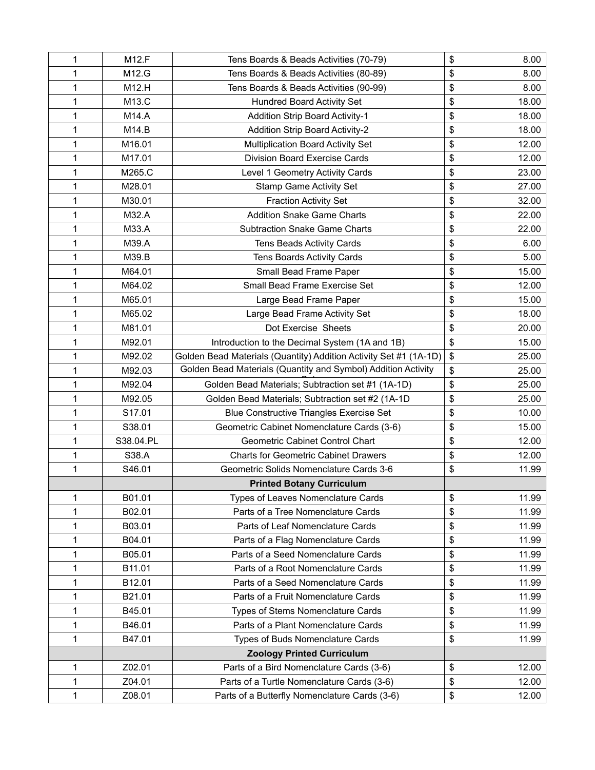| 1            | M12.F     | Tens Boards & Beads Activities (70-79)                            | \$<br>8.00  |
|--------------|-----------|-------------------------------------------------------------------|-------------|
| 1            | M12.G     | Tens Boards & Beads Activities (80-89)                            | \$<br>8.00  |
| 1            | M12.H     | Tens Boards & Beads Activities (90-99)                            | \$<br>8.00  |
| 1            | M13.C     | <b>Hundred Board Activity Set</b>                                 | \$<br>18.00 |
| 1            | M14.A     | <b>Addition Strip Board Activity-1</b>                            | \$<br>18.00 |
| $\mathbf{1}$ | M14.B     | <b>Addition Strip Board Activity-2</b>                            | \$<br>18.00 |
| $\mathbf{1}$ | M16.01    | Multiplication Board Activity Set                                 | 12.00<br>\$ |
| 1            | M17.01    | Division Board Exercise Cards                                     | \$<br>12.00 |
| 1            | M265.C    | Level 1 Geometry Activity Cards                                   | 23.00<br>\$ |
| $\mathbf{1}$ | M28.01    | <b>Stamp Game Activity Set</b>                                    | \$<br>27.00 |
| 1            | M30.01    | <b>Fraction Activity Set</b>                                      | \$<br>32.00 |
| 1            | M32.A     | <b>Addition Snake Game Charts</b>                                 | \$<br>22.00 |
| 1            | M33.A     | <b>Subtraction Snake Game Charts</b>                              | \$<br>22.00 |
| 1            | M39.A     | Tens Beads Activity Cards                                         | \$<br>6.00  |
| 1            | M39.B     | <b>Tens Boards Activity Cards</b>                                 | \$<br>5.00  |
| 1            | M64.01    | Small Bead Frame Paper                                            | 15.00<br>\$ |
| $\mathbf{1}$ | M64.02    | Small Bead Frame Exercise Set                                     | \$<br>12.00 |
| 1            | M65.01    | Large Bead Frame Paper                                            | \$<br>15.00 |
| $\mathbf{1}$ | M65.02    | Large Bead Frame Activity Set                                     | \$<br>18.00 |
| $\mathbf{1}$ | M81.01    | Dot Exercise Sheets                                               | \$<br>20.00 |
| 1            | M92.01    | Introduction to the Decimal System (1A and 1B)                    | 15.00<br>\$ |
| 1            | M92.02    | Golden Bead Materials (Quantity) Addition Activity Set #1 (1A-1D) | \$<br>25.00 |
| $\mathbf{1}$ | M92.03    | Golden Bead Materials (Quantity and Symbol) Addition Activity     | \$<br>25.00 |
| $\mathbf{1}$ | M92.04    | Golden Bead Materials; Subtraction set #1 (1A-1D)                 | \$<br>25.00 |
| 1            | M92.05    | Golden Bead Materials; Subtraction set #2 (1A-1D                  | \$<br>25.00 |
| $\mathbf{1}$ | S17.01    | <b>Blue Constructive Triangles Exercise Set</b>                   | \$<br>10.00 |
| 1            | S38.01    | Geometric Cabinet Nomenclature Cards (3-6)                        | \$<br>15.00 |
| 1            | S38.04.PL | Geometric Cabinet Control Chart                                   | 12.00<br>\$ |
| $\mathbf{1}$ | S38.A     | <b>Charts for Geometric Cabinet Drawers</b>                       | \$<br>12.00 |
| $\mathbf{1}$ | S46.01    | Geometric Solids Nomenclature Cards 3-6                           | \$<br>11.99 |
|              |           | <b>Printed Botany Curriculum</b>                                  |             |
| 1            | B01.01    | Types of Leaves Nomenclature Cards                                | \$<br>11.99 |
| 1            | B02.01    | Parts of a Tree Nomenclature Cards                                | 11.99<br>\$ |
| $\mathbf{1}$ | B03.01    | Parts of Leaf Nomenclature Cards                                  | \$<br>11.99 |
| 1            | B04.01    | Parts of a Flag Nomenclature Cards                                | 11.99<br>\$ |
| 1            | B05.01    | Parts of a Seed Nomenclature Cards                                | \$<br>11.99 |
| $\mathbf{1}$ | B11.01    | Parts of a Root Nomenclature Cards                                | \$<br>11.99 |
| 1            | B12.01    | Parts of a Seed Nomenclature Cards                                | \$<br>11.99 |
| 1            | B21.01    | Parts of a Fruit Nomenclature Cards                               | \$<br>11.99 |
| $\mathbf{1}$ | B45.01    | Types of Stems Nomenclature Cards                                 | \$<br>11.99 |
| $\mathbf{1}$ | B46.01    | Parts of a Plant Nomenclature Cards                               | \$<br>11.99 |
| 1            | B47.01    | Types of Buds Nomenclature Cards                                  | 11.99<br>\$ |
|              |           | <b>Zoology Printed Curriculum</b>                                 |             |
| 1            | Z02.01    | Parts of a Bird Nomenclature Cards (3-6)                          | \$<br>12.00 |
| 1            | Z04.01    | Parts of a Turtle Nomenclature Cards (3-6)                        | \$<br>12.00 |
| $\mathbf{1}$ | Z08.01    | Parts of a Butterfly Nomenclature Cards (3-6)                     | \$<br>12.00 |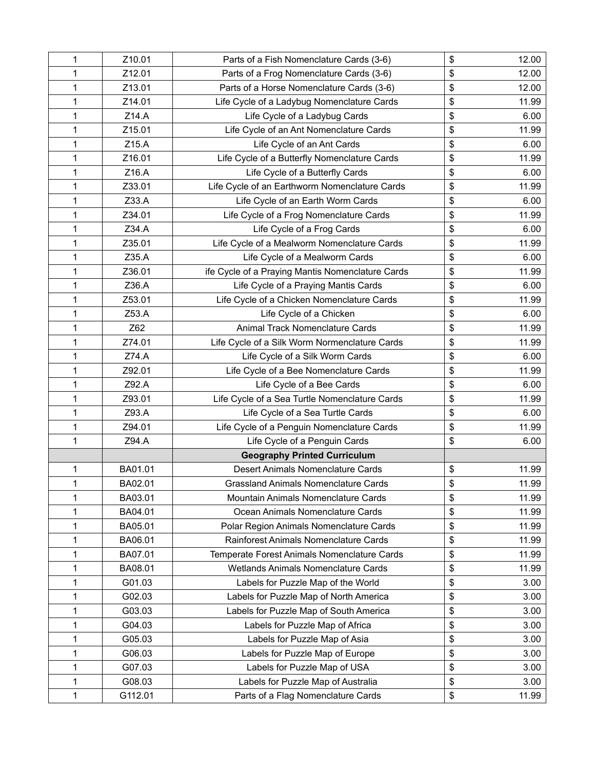| 1 | Z10.01  | Parts of a Fish Nomenclature Cards (3-6)         | \$<br>12.00 |
|---|---------|--------------------------------------------------|-------------|
| 1 | Z12.01  | Parts of a Frog Nomenclature Cards (3-6)         | \$<br>12.00 |
| 1 | Z13.01  | Parts of a Horse Nomenclature Cards (3-6)        | \$<br>12.00 |
| 1 | Z14.01  | Life Cycle of a Ladybug Nomenclature Cards       | \$<br>11.99 |
| 1 | Z14.A   | Life Cycle of a Ladybug Cards                    | \$<br>6.00  |
| 1 | Z15.01  | Life Cycle of an Ant Nomenclature Cards          | \$<br>11.99 |
| 1 | Z15.A   | Life Cycle of an Ant Cards                       | \$<br>6.00  |
| 1 | Z16.01  | Life Cycle of a Butterfly Nomenclature Cards     | \$<br>11.99 |
| 1 | Z16.A   | Life Cycle of a Butterfly Cards                  | \$<br>6.00  |
| 1 | Z33.01  | Life Cycle of an Earthworm Nomenclature Cards    | \$<br>11.99 |
| 1 | Z33.A   | Life Cycle of an Earth Worm Cards                | \$<br>6.00  |
| 1 | Z34.01  | Life Cycle of a Frog Nomenclature Cards          | \$<br>11.99 |
| 1 | Z34.A   | Life Cycle of a Frog Cards                       | \$<br>6.00  |
| 1 | Z35.01  | Life Cycle of a Mealworm Nomenclature Cards      | \$<br>11.99 |
| 1 | Z35.A   | Life Cycle of a Mealworm Cards                   | \$<br>6.00  |
| 1 | Z36.01  | ife Cycle of a Praying Mantis Nomenclature Cards | \$<br>11.99 |
| 1 | Z36.A   | Life Cycle of a Praying Mantis Cards             | \$<br>6.00  |
| 1 | Z53.01  | Life Cycle of a Chicken Nomenclature Cards       | \$<br>11.99 |
| 1 | Z53.A   | Life Cycle of a Chicken                          | \$<br>6.00  |
| 1 | Z62     | Animal Track Nomenclature Cards                  | \$<br>11.99 |
| 1 | Z74.01  | Life Cycle of a Silk Worm Normenclature Cards    | \$<br>11.99 |
| 1 | Z74.A   | Life Cycle of a Silk Worm Cards                  | \$<br>6.00  |
| 1 | Z92.01  | Life Cycle of a Bee Nomenclature Cards           | \$<br>11.99 |
| 1 | Z92.A   | Life Cycle of a Bee Cards                        | \$<br>6.00  |
| 1 | Z93.01  | Life Cycle of a Sea Turtle Nomenclature Cards    | \$<br>11.99 |
| 1 | Z93.A   | Life Cycle of a Sea Turtle Cards                 | \$<br>6.00  |
| 1 | Z94.01  | Life Cycle of a Penguin Nomenclature Cards       | \$<br>11.99 |
| 1 | Z94.A   | Life Cycle of a Penguin Cards                    | \$<br>6.00  |
|   |         | <b>Geography Printed Curriculum</b>              |             |
| 1 | BA01.01 | Desert Animals Nomenclature Cards                | \$<br>11.99 |
| 1 | BA02.01 | Grassland Animals Nomenclature Cards             | \$<br>11.99 |
| 1 | BA03.01 | Mountain Animals Nomenclature Cards              | \$<br>11.99 |
| 1 | BA04.01 | Ocean Animals Nomenclature Cards                 | \$<br>11.99 |
| 1 | BA05.01 | Polar Region Animals Nomenclature Cards          | \$<br>11.99 |
| 1 | BA06.01 | Rainforest Animals Nomenclature Cards            | \$<br>11.99 |
| 1 | BA07.01 | Temperate Forest Animals Nomenclature Cards      | \$<br>11.99 |
| 1 | BA08.01 | Wetlands Animals Nomenclature Cards              | \$<br>11.99 |
| 1 | G01.03  | Labels for Puzzle Map of the World               | \$<br>3.00  |
| 1 | G02.03  | Labels for Puzzle Map of North America           | \$<br>3.00  |
| 1 | G03.03  | Labels for Puzzle Map of South America           | \$<br>3.00  |
| 1 | G04.03  | Labels for Puzzle Map of Africa                  | \$<br>3.00  |
| 1 | G05.03  | Labels for Puzzle Map of Asia                    | \$<br>3.00  |
| 1 | G06.03  | Labels for Puzzle Map of Europe                  | \$<br>3.00  |
| 1 | G07.03  | Labels for Puzzle Map of USA                     | \$<br>3.00  |
| 1 | G08.03  | Labels for Puzzle Map of Australia               | \$<br>3.00  |
| 1 | G112.01 | Parts of a Flag Nomenclature Cards               | \$<br>11.99 |